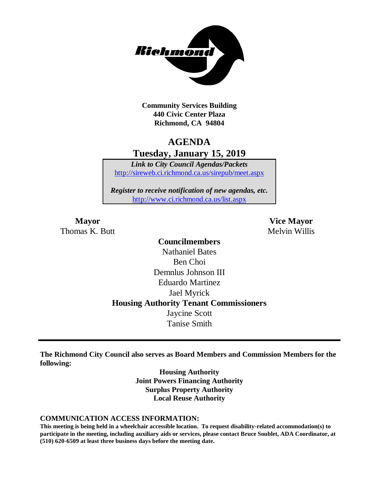

**Community Services Building 440 Civic Center Plaza Richmond, CA 94804**

## **AGENDA Tuesday, January 15, 2019**

*Link to City Council Agendas/Packets* <http://sireweb.ci.richmond.ca.us/sirepub/meet.aspx>

*Register to receive notification of new agendas, etc.* <http://www.ci.richmond.ca.us/list.aspx>

Thomas K. Butt Melvin Willis

**Mayor Vice Mayor**

**Councilmembers** Nathaniel Bates Ben Choi Demnlus Johnson III Eduardo Martinez Jael Myrick **Housing Authority Tenant Commissioners** Jaycine Scott Tanise Smith

**The Richmond City Council also serves as Board Members and Commission Members for the following:**

> **Housing Authority Joint Powers Financing Authority Surplus Property Authority Local Reuse Authority**

#### **COMMUNICATION ACCESS INFORMATION:**

**This meeting is being held in a wheelchair accessible location. To request disability-related accommodation(s) to participate in the meeting, including auxiliary aids or services, please contact Bruce Soublet, ADA Coordinator, at (510) 620-6509 at least three business days before the meeting date.**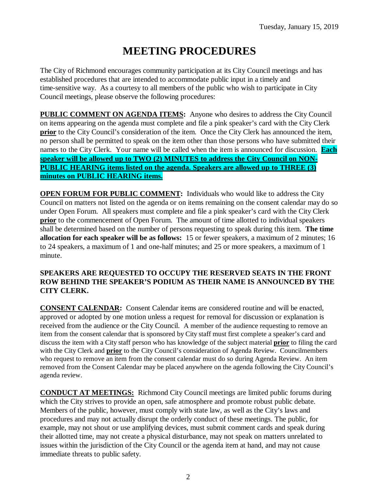# **MEETING PROCEDURES**

The City of Richmond encourages community participation at its City Council meetings and has established procedures that are intended to accommodate public input in a timely and time-sensitive way. As a courtesy to all members of the public who wish to participate in City Council meetings, please observe the following procedures:

**PUBLIC COMMENT ON AGENDA ITEMS:** Anyone who desires to address the City Council on items appearing on the agenda must complete and file a pink speaker's card with the City Clerk **prior** to the City Council's consideration of the item. Once the City Clerk has announced the item, no person shall be permitted to speak on the item other than those persons who have submitted their names to the City Clerk. Your name will be called when the item is announced for discussion. **Each speaker will be allowed up to TWO (2) MINUTES to address the City Council on NON-PUBLIC HEARING items listed on the agenda. Speakers are allowed up to THREE (3) minutes on PUBLIC HEARING items.**

**OPEN FORUM FOR PUBLIC COMMENT:** Individuals who would like to address the City Council on matters not listed on the agenda or on items remaining on the consent calendar may do so under Open Forum. All speakers must complete and file a pink speaker's card with the City Clerk **prior** to the commencement of Open Forum. The amount of time allotted to individual speakers shall be determined based on the number of persons requesting to speak during this item. **The time allocation for each speaker will be as follows:** 15 or fewer speakers, a maximum of 2 minutes; 16 to 24 speakers, a maximum of 1 and one-half minutes; and 25 or more speakers, a maximum of 1 minute.

#### **SPEAKERS ARE REQUESTED TO OCCUPY THE RESERVED SEATS IN THE FRONT ROW BEHIND THE SPEAKER'S PODIUM AS THEIR NAME IS ANNOUNCED BY THE CITY CLERK.**

**CONSENT CALENDAR:** Consent Calendar items are considered routine and will be enacted, approved or adopted by one motion unless a request for removal for discussion or explanation is received from the audience or the City Council. A member of the audience requesting to remove an item from the consent calendar that is sponsored by City staff must first complete a speaker's card and discuss the item with a City staff person who has knowledge of the subject material **prior** to filing the card with the City Clerk and **prior** to the City Council's consideration of Agenda Review. Councilmembers who request to remove an item from the consent calendar must do so during Agenda Review. An item removed from the Consent Calendar may be placed anywhere on the agenda following the City Council's agenda review.

**CONDUCT AT MEETINGS:** Richmond City Council meetings are limited public forums during which the City strives to provide an open, safe atmosphere and promote robust public debate. Members of the public, however, must comply with state law, as well as the City's laws and procedures and may not actually disrupt the orderly conduct of these meetings. The public, for example, may not shout or use amplifying devices, must submit comment cards and speak during their allotted time, may not create a physical disturbance, may not speak on matters unrelated to issues within the jurisdiction of the City Council or the agenda item at hand, and may not cause immediate threats to public safety.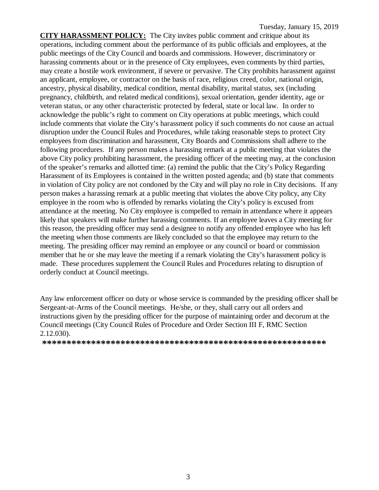**CITY HARASSMENT POLICY:** The City invites public comment and critique about its operations, including comment about the performance of its public officials and employees, at the public meetings of the City Council and boards and commissions. However, discriminatory or harassing comments about or in the presence of City employees, even comments by third parties, may create a hostile work environment, if severe or pervasive. The City prohibits harassment against an applicant, employee, or contractor on the basis of race, religious creed, color, national origin, ancestry, physical disability, medical condition, mental disability, marital status, sex (including pregnancy, childbirth, and related medical conditions), sexual orientation, gender identity, age or veteran status, or any other characteristic protected by federal, state or local law. In order to acknowledge the public's right to comment on City operations at public meetings, which could include comments that violate the City's harassment policy if such comments do not cause an actual disruption under the Council Rules and Procedures, while taking reasonable steps to protect City employees from discrimination and harassment, City Boards and Commissions shall adhere to the following procedures. If any person makes a harassing remark at a public meeting that violates the above City policy prohibiting harassment, the presiding officer of the meeting may, at the conclusion of the speaker's remarks and allotted time: (a) remind the public that the City's Policy Regarding Harassment of its Employees is contained in the written posted agenda; and (b) state that comments in violation of City policy are not condoned by the City and will play no role in City decisions. If any person makes a harassing remark at a public meeting that violates the above City policy, any City employee in the room who is offended by remarks violating the City's policy is excused from attendance at the meeting. No City employee is compelled to remain in attendance where it appears likely that speakers will make further harassing comments. If an employee leaves a City meeting for this reason, the presiding officer may send a designee to notify any offended employee who has left the meeting when those comments are likely concluded so that the employee may return to the meeting. The presiding officer may remind an employee or any council or board or commission member that he or she may leave the meeting if a remark violating the City's harassment policy is made. These procedures supplement the Council Rules and Procedures relating to disruption of orderly conduct at Council meetings.

Any law enforcement officer on duty or whose service is commanded by the presiding officer shall be Sergeant-at-Arms of the Council meetings. He/she, or they, shall carry out all orders and instructions given by the presiding officer for the purpose of maintaining order and decorum at the Council meetings (City Council Rules of Procedure and Order Section III F, RMC Section 2.12.030).

**\*\*\*\*\*\*\*\*\*\*\*\*\*\*\*\*\*\*\*\*\*\*\*\*\*\*\*\*\*\*\*\*\*\*\*\*\*\*\*\*\*\*\*\*\*\*\*\*\*\*\*\*\*\*\*\*\*\***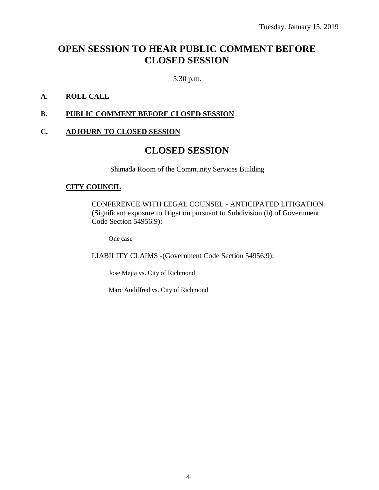## **OPEN SESSION TO HEAR PUBLIC COMMENT BEFORE CLOSED SESSION**

5:30 p.m.

#### **A. ROLL CALL**

#### **B. PUBLIC COMMENT BEFORE CLOSED SESSION**

#### **C. ADJOURN TO CLOSED SESSION**

### **CLOSED SESSION**

Shimada Room of the Community Services Building

#### **CITY COUNCIL**

CONFERENCE WITH LEGAL COUNSEL - ANTICIPATED LITIGATION (Significant exposure to litigation pursuant to Subdivision (b) of Government Code Section 54956.9):

One case

LIABILITY CLAIMS -(Government Code Section 54956.9):

Jose Mejia vs. City of Richmond

Marc Audiffred vs. City of Richmond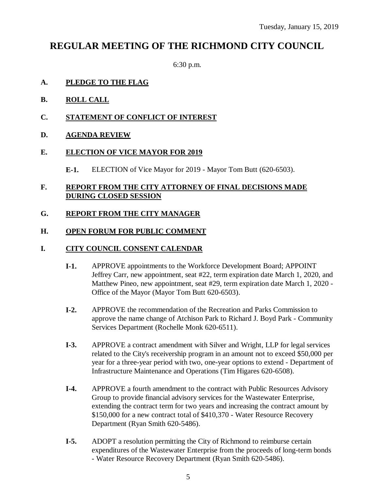### **REGULAR MEETING OF THE RICHMOND CITY COUNCIL**

6:30 p.m.

#### **A. PLEDGE TO THE FLAG**

- **B. ROLL CALL**
- **C. STATEMENT OF CONFLICT OF INTEREST**

#### **D. AGENDA REVIEW**

#### **E. ELECTION OF VICE MAYOR FOR 2019**

**E-1.** ELECTION of Vice Mayor for 2019 - Mayor Tom Butt (620-6503).

#### **F. REPORT FROM THE CITY ATTORNEY OF FINAL DECISIONS MADE DURING CLOSED SESSION**

#### **G. REPORT FROM THE CITY MANAGER**

#### **H. OPEN FORUM FOR PUBLIC COMMENT**

#### **I. CITY COUNCIL CONSENT CALENDAR**

- **I-1.** APPROVE appointments to the Workforce Development Board; APPOINT Jeffrey Carr, new appointment, seat #22, term expiration date March 1, 2020, and Matthew Pineo, new appointment, seat #29, term expiration date March 1, 2020 - Office of the Mayor (Mayor Tom Butt 620-6503).
- **I-2.** APPROVE the recommendation of the Recreation and Parks Commission to approve the name change of Atchison Park to Richard J. Boyd Park - Community Services Department (Rochelle Monk 620-6511).
- **I-3.** APPROVE a contract amendment with Silver and Wright, LLP for legal services related to the City's receivership program in an amount not to exceed \$50,000 per year for a three-year period with two, one-year options to extend - Department of Infrastructure Maintenance and Operations (Tim Higares 620-6508).
- **I-4.** APPROVE a fourth amendment to the contract with Public Resources Advisory Group to provide financial advisory services for the Wastewater Enterprise, extending the contract term for two years and increasing the contract amount by \$150,000 for a new contract total of \$410,370 - Water Resource Recovery Department (Ryan Smith 620-5486).
- **I-5.** ADOPT a resolution permitting the City of Richmond to reimburse certain expenditures of the Wastewater Enterprise from the proceeds of long-term bonds
	- Water Resource Recovery Department (Ryan Smith 620-5486).